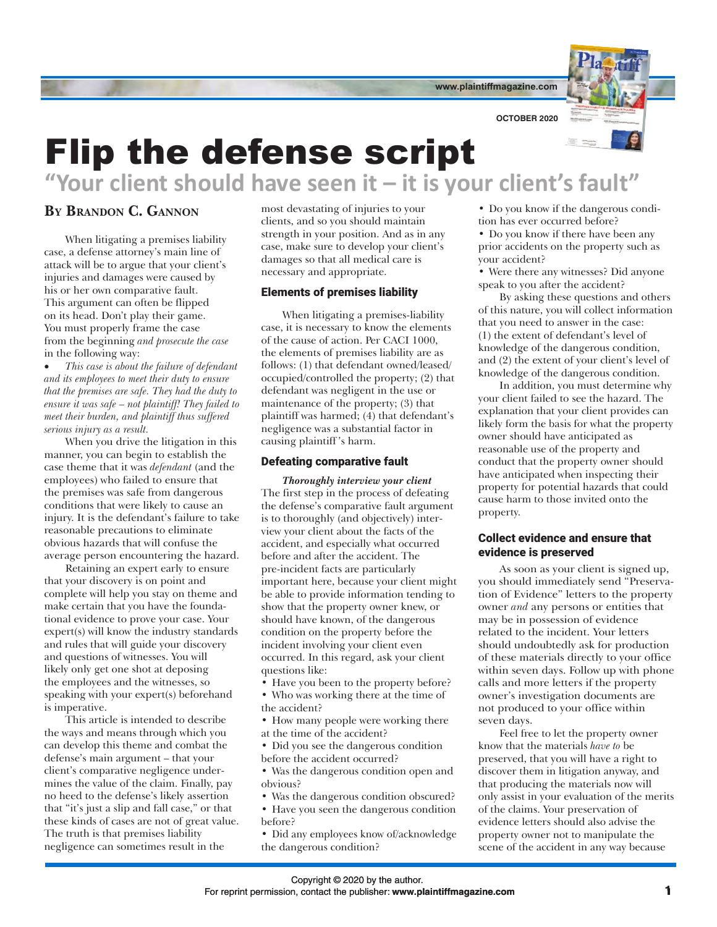**www.plaintiffmagazine.com**



**OCTOBER 2020**

# Flip the defense script **"Your client should have seen it – it is your client's fault"**

# **By Brandon C. Gannon**

When litigating a premises liability case, a defense attorney's main line of attack will be to argue that your client's injuries and damages were caused by his or her own comparative fault. This argument can often be flipped on its head. Don't play their game. You must properly frame the case from the beginning *and prosecute the case* in the following way:

• *This case is about the failure of defendant and its employees to meet their duty to ensure that the premises are safe. They had the duty to ensure it was safe – not plaintiff! They failed to meet their burden, and plaintiff thus suffered serious injury as a result.*

When you drive the litigation in this manner, you can begin to establish the case theme that it was *defendant* (and the employees) who failed to ensure that the premises was safe from dangerous conditions that were likely to cause an injury. It is the defendant's failure to take reasonable precautions to eliminate obvious hazards that will confuse the average person encountering the hazard.

Retaining an expert early to ensure that your discovery is on point and complete will help you stay on theme and make certain that you have the foundational evidence to prove your case. Your expert(s) will know the industry standards and rules that will guide your discovery and questions of witnesses. You will likely only get one shot at deposing the employees and the witnesses, so speaking with your expert(s) beforehand is imperative.

This article is intended to describe the ways and means through which you can develop this theme and combat the defense's main argument – that your client's comparative negligence undermines the value of the claim. Finally, pay no heed to the defense's likely assertion that "it's just a slip and fall case," or that these kinds of cases are not of great value. The truth is that premises liability negligence can sometimes result in the

most devastating of injuries to your clients, and so you should maintain strength in your position. And as in any case, make sure to develop your client's damages so that all medical care is necessary and appropriate.

## Elements of premises liability

When litigating a premises-liability case, it is necessary to know the elements of the cause of action. Per CACI 1000, the elements of premises liability are as follows: (1) that defendant owned/leased/ occupied/controlled the property; (2) that defendant was negligent in the use or maintenance of the property; (3) that plaintiff was harmed; (4) that defendant's negligence was a substantial factor in causing plaintiff 's harm.

#### Defeating comparative fault

*Thoroughly interview your client* The first step in the process of defeating the defense's comparative fault argument is to thoroughly (and objectively) interview your client about the facts of the accident, and especially what occurred before and after the accident. The pre-incident facts are particularly important here, because your client might be able to provide information tending to show that the property owner knew, or should have known, of the dangerous condition on the property before the incident involving your client even occurred. In this regard, ask your client questions like:

- Have you been to the property before?
- Who was working there at the time of the accident?

• How many people were working there at the time of the accident?

• Did you see the dangerous condition before the accident occurred?

• Was the dangerous condition open and obvious?

• Was the dangerous condition obscured? • Have you seen the dangerous condition before?

• Did any employees know of/acknowledge the dangerous condition?

• Do you know if the dangerous condition has ever occurred before?

• Do you know if there have been any prior accidents on the property such as your accident?

• Were there any witnesses? Did anyone speak to you after the accident?

By asking these questions and others of this nature, you will collect information that you need to answer in the case: (1) the extent of defendant's level of knowledge of the dangerous condition, and (2) the extent of your client's level of knowledge of the dangerous condition.

In addition, you must determine why your client failed to see the hazard. The explanation that your client provides can likely form the basis for what the property owner should have anticipated as reasonable use of the property and conduct that the property owner should have anticipated when inspecting their property for potential hazards that could cause harm to those invited onto the property.

### Collect evidence and ensure that evidence is preserved

As soon as your client is signed up, you should immediately send "Preservation of Evidence" letters to the property owner *and* any persons or entities that may be in possession of evidence related to the incident. Your letters should undoubtedly ask for production of these materials directly to your office within seven days. Follow up with phone calls and more letters if the property owner's investigation documents are not produced to your office within seven days.

Feel free to let the property owner know that the materials *have to* be preserved, that you will have a right to discover them in litigation anyway, and that producing the materials now will only assist in your evaluation of the merits of the claims. Your preservation of evidence letters should also advise the property owner not to manipulate the scene of the accident in any way because